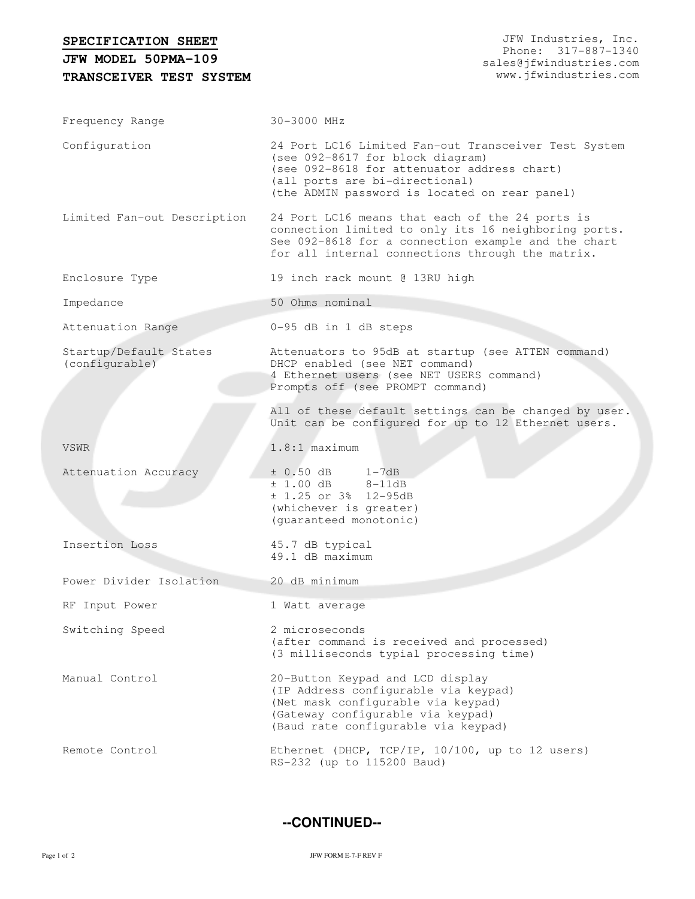| SPECIFICATION SHEET<br>JFW MODEL 50PMA-109 | JFW Industries, Inc.<br>Phone: 317-887-1340<br>sales@jfwindustries.com                                                                                                                                                     |
|--------------------------------------------|----------------------------------------------------------------------------------------------------------------------------------------------------------------------------------------------------------------------------|
| TRANSCEIVER TEST SYSTEM                    | www.jfwindustries.com                                                                                                                                                                                                      |
| Frequency Range                            | 30-3000 MHz                                                                                                                                                                                                                |
| Configuration                              | 24 Port LC16 Limited Fan-out Transceiver Test System<br>(see 092-8617 for block diagram)<br>(see 092-8618 for attenuator address chart)<br>(all ports are bi-directional)<br>(the ADMIN password is located on rear panel) |
| Limited Fan-out Description                | 24 Port LC16 means that each of the 24 ports is<br>connection limited to only its 16 neighboring ports.<br>See 092-8618 for a connection example and the chart<br>for all internal connections through the matrix.         |
| Enclosure Type                             | 19 inch rack mount @ 13RU high                                                                                                                                                                                             |
| Impedance                                  | 50 Ohms nominal                                                                                                                                                                                                            |
| Attenuation Range                          | 0-95 dB in 1 dB steps                                                                                                                                                                                                      |
| Startup/Default States<br>(configurable)   | Attenuators to 95dB at startup (see ATTEN command)<br>DHCP enabled (see NET command)<br>4 Ethernet users (see NET USERS command)<br>Prompts off (see PROMPT command)                                                       |
|                                            | All of these default settings can be changed by user.<br>Unit can be configured for up to 12 Ethernet users.                                                                                                               |
| <b>VSWR</b>                                | $1.8:1$ maximum                                                                                                                                                                                                            |
| Attenuation Accuracy                       | $\pm$ 0.50 dB 1-7dB<br>$± 1.00 dB$ 8-11dB<br>$± 1.25$ or 3% 12-95dB<br>(whichever is greater)<br>(guaranteed monotonic)                                                                                                    |
| Insertion Loss                             | 45.7 dB typical<br>49.1 dB maximum                                                                                                                                                                                         |
| Power Divider Isolation                    | 20 dB minimum                                                                                                                                                                                                              |
| RF Input Power                             | 1 Watt average                                                                                                                                                                                                             |
| Switching Speed                            | 2 microseconds<br>(after command is received and processed)<br>(3 milliseconds typial processing time)                                                                                                                     |
| Manual Control                             | 20-Button Keypad and LCD display<br>(IP Address configurable via keypad)<br>(Net mask configurable via keypad)<br>(Gateway configurable via keypad)<br>(Baud rate configurable via keypad)                                 |
| Remote Control                             | Ethernet (DHCP, TCP/IP, 10/100, up to 12 users)<br>RS-232 (up to 115200 Baud)                                                                                                                                              |

**--CONTINUED--**